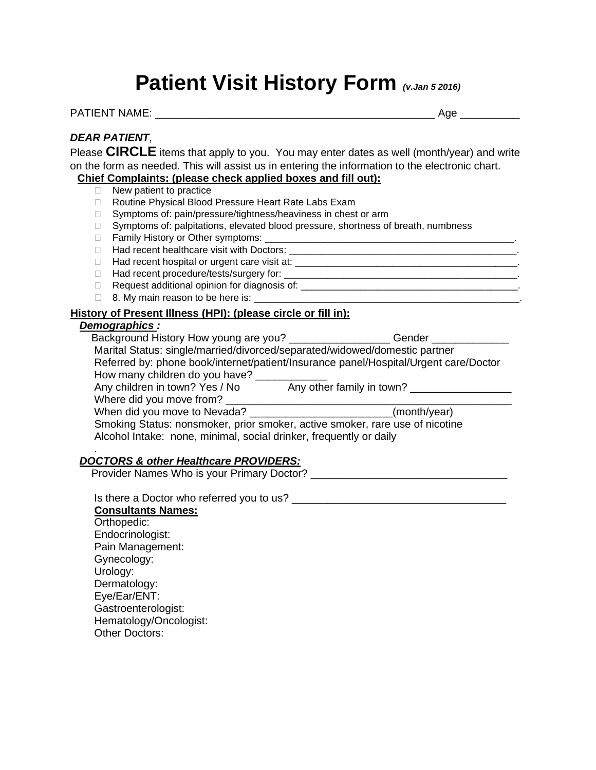# **Patient Visit History Form** *(v.Jan 5 2016)*

PATIENT NAME: And the set of the set of the set of the set of the set of the set of the set of the set of the set of the set of the set of the set of the set of the set of the set of the set of the set of the set of the se

## *DEAR PATIENT*,

Please **CIRCLE** items that apply to you. You may enter dates as well (month/year) and write on the form as needed. This will assist us in entering the information to the electronic chart. **Chief Complaints: (please check applied boxes and fill out):** 

## □ New patient to practice

- 
- □ Routine Physical Blood Pressure Heart Rate Labs Exam
- □ Symptoms of: pain/pressure/tightness/heaviness in chest or arm
- □ Symptoms of: palpitations, elevated blood pressure, shortness of breath, numbness
- □ Family History or Other symptoms: <u></u>
- $\Box$  Had recent healthcare visit with Doctors:  $\Box$
- $\Box$  Had recent hospital or urgent care visit at:
- Had recent procedure/tests/surgery for: \_\_\_\_\_\_\_\_\_\_\_\_\_\_\_\_\_\_\_\_\_\_\_\_\_\_\_\_\_\_\_\_\_\_\_\_\_\_\_\_\_\_\_.
- Request additional opinion for diagnosis of: \_\_\_\_\_\_\_\_\_\_\_\_\_\_\_\_\_\_\_\_\_\_\_\_\_\_\_\_\_\_\_\_\_\_\_\_\_\_\_\_.
- $\Box$  8. My main reason to be here is:

#### **History of Present Illness (HPI): (please circle or fill in):**

### *Demographics :*

| Background History How young are you?                              | Gender                                                                               |
|--------------------------------------------------------------------|--------------------------------------------------------------------------------------|
|                                                                    | Marital Status: single/married/divorced/separated/widowed/domestic partner           |
|                                                                    | Referred by: phone book/internet/patient/Insurance panel/Hospital/Urgent care/Doctor |
| How many children do you have?                                     |                                                                                      |
| Any children in town? Yes / No                                     | Any other family in town?                                                            |
| Where did you move from?                                           |                                                                                      |
|                                                                    | (month/year)                                                                         |
|                                                                    | Smoking Status: nonsmoker, prior smoker, active smoker, rare use of nicotine         |
| Alcohol Intake: none, minimal, social drinker, frequently or daily |                                                                                      |

#### . *DOCTORS & other Healthcare PROVIDERS:*

Provider Names Who is your Primary Doctor? \_\_\_\_\_\_\_\_\_\_\_\_\_\_\_\_\_\_\_\_\_\_\_\_\_\_\_\_\_\_\_\_\_

Is there a Doctor who referred you to us?

 **Consultants Names:** Orthopedic: Endocrinologist: Pain Management: Gynecology: Urology: Dermatology: Eye/Ear/ENT: Gastroenterologist: Hematology/Oncologist: Other Doctors: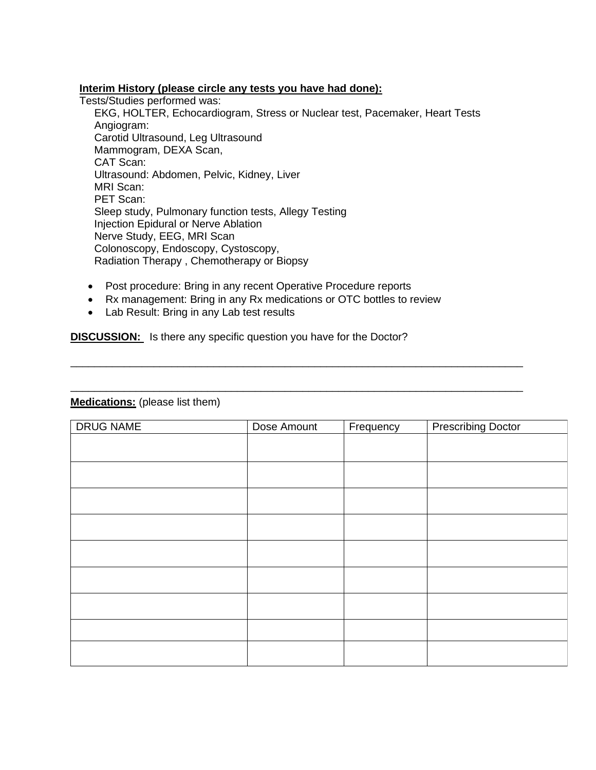#### **Interim History (please circle any tests you have had done):**

Tests/Studies performed was:

 EKG, HOLTER, Echocardiogram, Stress or Nuclear test, Pacemaker, Heart Tests Angiogram: Carotid Ultrasound, Leg Ultrasound Mammogram, DEXA Scan, CAT Scan: Ultrasound: Abdomen, Pelvic, Kidney, Liver MRI Scan: PET Scan: Sleep study, Pulmonary function tests, Allegy Testing Injection Epidural or Nerve Ablation Nerve Study, EEG, MRI Scan Colonoscopy, Endoscopy, Cystoscopy, Radiation Therapy , Chemotherapy or Biopsy

\_\_\_\_\_\_\_\_\_\_\_\_\_\_\_\_\_\_\_\_\_\_\_\_\_\_\_\_\_\_\_\_\_\_\_\_\_\_\_\_\_\_\_\_\_\_\_\_\_\_\_\_\_\_\_\_\_\_\_\_\_\_\_\_\_\_\_\_\_\_\_\_\_\_\_\_

\_\_\_\_\_\_\_\_\_\_\_\_\_\_\_\_\_\_\_\_\_\_\_\_\_\_\_\_\_\_\_\_\_\_\_\_\_\_\_\_\_\_\_\_\_\_\_\_\_\_\_\_\_\_\_\_\_\_\_\_\_\_\_\_\_\_\_\_\_\_\_\_\_\_\_\_

- Post procedure: Bring in any recent Operative Procedure reports
- Rx management: Bring in any Rx medications or OTC bottles to review
- Lab Result: Bring in any Lab test results

**DISCUSSION:** Is there any specific question you have for the Doctor?

### **Medications:** (please list them)

| DRUG NAME | Dose Amount | Frequency | <b>Prescribing Doctor</b> |
|-----------|-------------|-----------|---------------------------|
|           |             |           |                           |
|           |             |           |                           |
|           |             |           |                           |
|           |             |           |                           |
|           |             |           |                           |
|           |             |           |                           |
|           |             |           |                           |
|           |             |           |                           |
|           |             |           |                           |
|           |             |           |                           |
|           |             |           |                           |
|           |             |           |                           |
|           |             |           |                           |
|           |             |           |                           |
|           |             |           |                           |
|           |             |           |                           |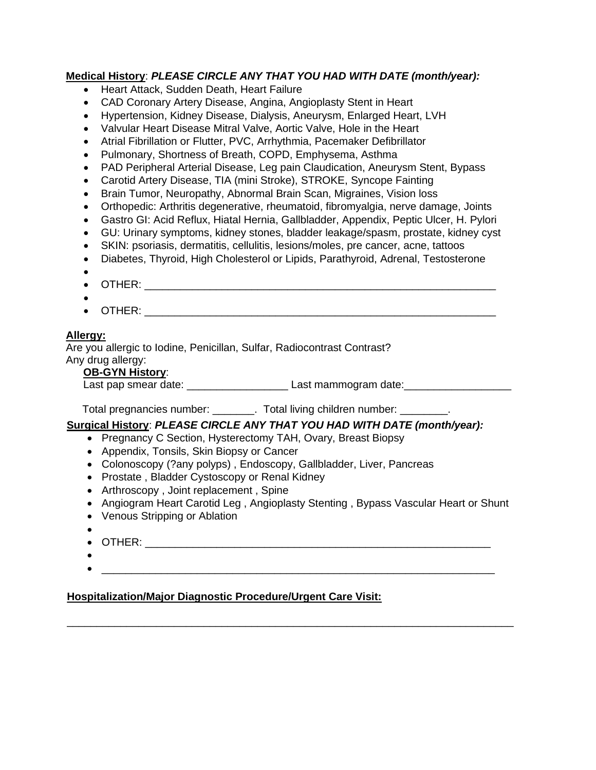## **Medical History**: *PLEASE CIRCLE ANY THAT YOU HAD WITH DATE (month/year):*

- Heart Attack, Sudden Death, Heart Failure
- CAD Coronary Artery Disease, Angina, Angioplasty Stent in Heart
- Hypertension, Kidney Disease, Dialysis, Aneurysm, Enlarged Heart, LVH
- Valvular Heart Disease Mitral Valve, Aortic Valve, Hole in the Heart
- Atrial Fibrillation or Flutter, PVC, Arrhythmia, Pacemaker Defibrillator
- Pulmonary, Shortness of Breath, COPD, Emphysema, Asthma
- PAD Peripheral Arterial Disease, Leg pain Claudication, Aneurysm Stent, Bypass
- Carotid Artery Disease, TIA (mini Stroke), STROKE, Syncope Fainting
- Brain Tumor, Neuropathy, Abnormal Brain Scan, Migraines, Vision loss
- Orthopedic: Arthritis degenerative, rheumatoid, fibromyalgia, nerve damage, Joints
- Gastro GI: Acid Reflux, Hiatal Hernia, Gallbladder, Appendix, Peptic Ulcer, H. Pylori
- GU: Urinary symptoms, kidney stones, bladder leakage/spasm, prostate, kidney cyst
- SKIN: psoriasis, dermatitis, cellulitis, lesions/moles, pre cancer, acne, tattoos
- Diabetes, Thyroid, High Cholesterol or Lipids, Parathyroid, Adrenal, Testosterone
- •
- OTHER: \_\_\_\_\_\_\_\_\_\_\_\_\_\_\_\_\_\_\_\_\_\_\_\_\_\_\_\_\_\_\_\_\_\_\_\_\_\_\_\_\_\_\_\_\_\_\_\_\_\_\_\_\_\_\_\_\_\_\_
- •
- $\begin{array}{ccc} \text{OTHER:} \end{array}$

## **Allergy:**

Are you allergic to Iodine, Penicillan, Sulfar, Radiocontrast Contrast? Any drug allergy:

## **OB-GYN History**:

Last pap smear date: <br>Last mammogram date:

Total pregnancies number: \_\_\_\_\_\_\_\_. Total living children number: \_\_\_\_\_\_\_\_.

## **Surgical History**: *PLEASE CIRCLE ANY THAT YOU HAD WITH DATE (month/year):*

- Pregnancy C Section, Hysterectomy TAH, Ovary, Breast Biopsy
- Appendix, Tonsils, Skin Biopsy or Cancer
- Colonoscopy (?any polyps) , Endoscopy, Gallbladder, Liver, Pancreas
- Prostate , Bladder Cystoscopy or Renal Kidney
- Arthroscopy , Joint replacement , Spine
- Angiogram Heart Carotid Leg , Angioplasty Stenting , Bypass Vascular Heart or Shunt

\_\_\_\_\_\_\_\_\_\_\_\_\_\_\_\_\_\_\_\_\_\_\_\_\_\_\_\_\_\_\_\_\_\_\_\_\_\_\_\_\_\_\_\_\_\_\_\_\_\_\_\_\_\_\_\_\_\_\_\_\_\_\_\_\_\_\_\_\_\_\_\_\_\_\_

- Venous Stripping or Ablation
- •
- OTHER: \_\_\_\_\_\_\_\_\_\_\_\_\_\_\_\_\_\_\_\_\_\_\_\_\_\_\_\_\_\_\_\_\_\_\_\_\_\_\_\_\_\_\_\_\_\_\_\_\_\_\_\_\_\_\_\_\_\_
- •
- $\bullet$   $\overbrace{\phantom{xxxxx}}$

## **Hospitalization/Major Diagnostic Procedure/Urgent Care Visit:**